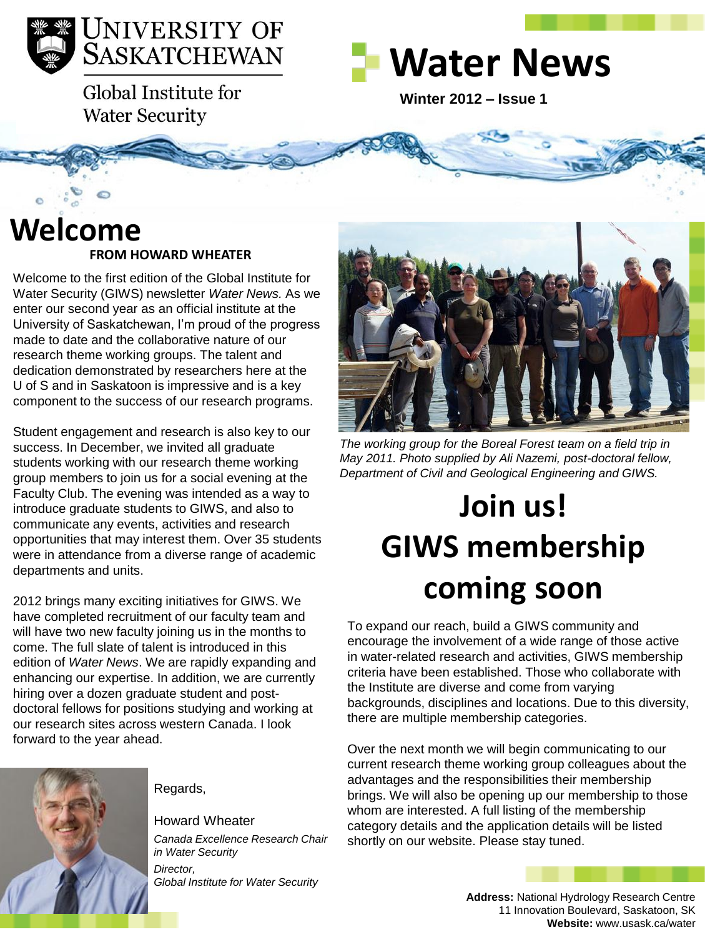

Global Institute for **Water Security** 



**Winter 2012 – Issue 1** 

### **FROM HOWARD WHEATER Welcome**

Welcome to the first edition of the Global Institute for Water Security (GIWS) newsletter *Water News.* As we enter our second year as an official institute at the University of Saskatchewan, I'm proud of the progress made to date and the collaborative nature of our research theme working groups. The talent and dedication demonstrated by researchers here at the U of S and in Saskatoon is impressive and is a key component to the success of our research programs.

Student engagement and research is also key to our success. In December, we invited all graduate students working with our research theme working group members to join us for a social evening at the Faculty Club. The evening was intended as a way to introduce graduate students to GIWS, and also to communicate any events, activities and research opportunities that may interest them. Over 35 students were in attendance from a diverse range of academic departments and units.

2012 brings many exciting initiatives for GIWS. We have completed recruitment of our faculty team and will have two new faculty joining us in the months to come. The full slate of talent is introduced in this edition of *Water News*. We are rapidly expanding and enhancing our expertise. In addition, we are currently hiring over a dozen graduate student and postdoctoral fellows for positions studying and working at our research sites across western Canada. I look forward to the year ahead.



Regards,

Howard Wheater *Canada Excellence Research Chair in Water Security Director, Global Institute for Water Security*

*The working group for the Boreal Forest team on a field trip in May 2011. Photo supplied by Ali Nazemi, post-doctoral fellow, Department of Civil and Geological Engineering and GIWS.* 

# **Join us! GIWS membership coming soon**

To expand our reach, build a GIWS community and encourage the involvement of a wide range of those active in water-related research and activities, GIWS membership criteria have been established. Those who collaborate with the Institute are diverse and come from varying backgrounds, disciplines and locations. Due to this diversity, there are multiple membership categories.

Over the next month we will begin communicating to our current research theme working group colleagues about the advantages and the responsibilities their membership brings. We will also be opening up our membership to those whom are interested. A full listing of the membership category details and the application details will be listed shortly on our website. Please stay tuned.

> **Address:** National Hydrology Research Centre 11 Innovation Boulevard, Saskatoon, SK **Website:** www.usask.ca/water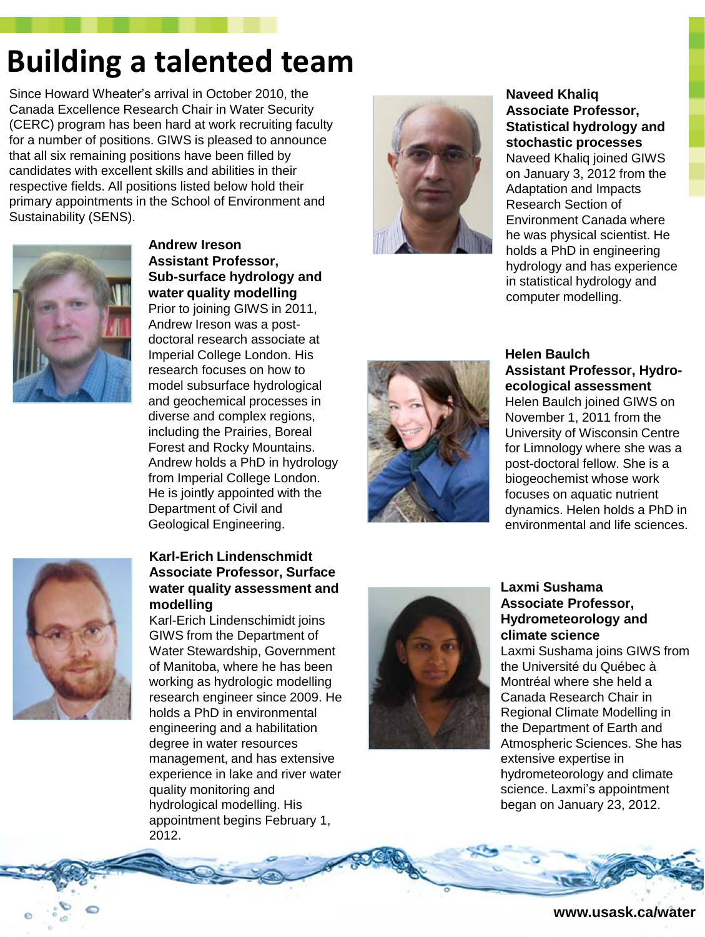### **Building a talented team**

Since Howard Wheater's arrival in October 2010, the Canada Excellence Research Chair in Water Security (CERC) program has been hard at work recruiting faculty for a number of positions. GIWS is pleased to announce that all six remaining positions have been filled by candidates with excellent skills and abilities in their respective fields. All positions listed below hold their primary appointments in the School of Environment and Sustainability (SENS).



**Andrew Ireson Assistant Professor, Sub-surface hydrology and water quality modelling** Prior to joining GIWS in 2011, Andrew Ireson was a postdoctoral research associate at Imperial College London. His research focuses on how to model subsurface hydrological and geochemical processes in

diverse and complex regions, including the Prairies, Boreal Forest and Rocky Mountains. Andrew holds a PhD in hydrology from Imperial College London. He is jointly appointed with the Department of Civil and Geological Engineering.



#### **Naveed Khaliq Associate Professor, Statistical hydrology and stochastic processes**

Naveed Khaliq joined GIWS on January 3, 2012 from the Adaptation and Impacts Research Section of Environment Canada where he was physical scientist. He holds a PhD in engineering hydrology and has experience in statistical hydrology and computer modelling.



#### **Helen Baulch Assistant Professor, Hydroecological assessment**

Helen Baulch joined GIWS on November 1, 2011 from the University of Wisconsin Centre for Limnology where she was a post-doctoral fellow. She is a biogeochemist whose work focuses on aquatic nutrient dynamics. Helen holds a PhD in environmental and life sciences.



#### **Karl-Erich Lindenschmidt Associate Professor, Surface water quality assessment and modelling**

Karl-Erich Lindenschimidt joins GIWS from the Department of Water Stewardship, Government of Manitoba, where he has been working as hydrologic modelling research engineer since 2009. He holds a PhD in environmental engineering and a habilitation degree in water resources management, and has extensive experience in lake and river water quality monitoring and hydrological modelling. His appointment begins February 1, 2012.



#### **Laxmi Sushama Associate Professor, Hydrometeorology and climate science**

Laxmi Sushama joins GIWS from the Université du Québec à Montréal where she held a Canada Research Chair in Regional Climate Modelling in the Department of Earth and Atmospheric Sciences. She has extensive expertise in hydrometeorology and climate science. Laxmi's appointment began on January 23, 2012.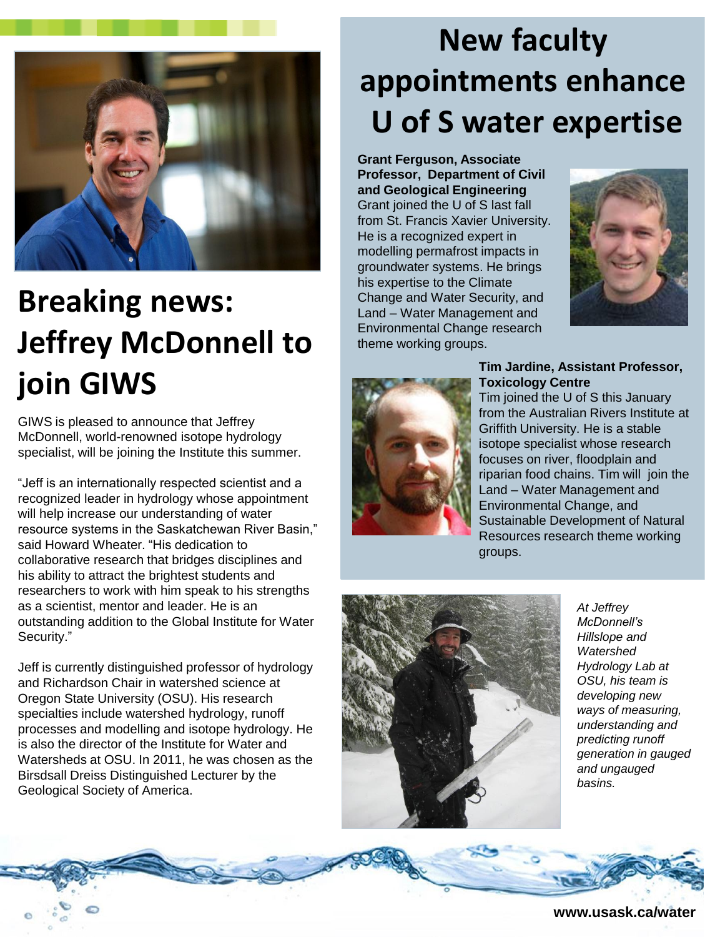

# **Breaking news: Jeffrey McDonnell to join GIWS**

GIWS is pleased to announce that Jeffrey McDonnell, world-renowned isotope hydrology specialist, will be joining the Institute this summer.

"Jeff is an internationally respected scientist and a recognized leader in hydrology whose appointment will help increase our understanding of water resource systems in the Saskatchewan River Basin," said Howard Wheater. "His dedication to collaborative research that bridges disciplines and his ability to attract the brightest students and researchers to work with him speak to his strengths as a scientist, mentor and leader. He is an outstanding addition to the Global Institute for Water Security."

Jeff is currently distinguished professor of hydrology and Richardson Chair in watershed science at Oregon State University (OSU). His research specialties include watershed hydrology, runoff processes and modelling and isotope hydrology. He is also the director of the Institute for Water and Watersheds at OSU. In 2011, he was chosen as the Birsdsall Dreiss Distinguished Lecturer by the Geological Society of America.

# **New faculty appointments enhance U of S water expertise**

**Grant Ferguson, Associate Professor, Department of Civil and Geological Engineering**  Grant joined the U of S last fall from St. Francis Xavier University. He is a recognized expert in modelling permafrost impacts in groundwater systems. He brings his expertise to the Climate Change and Water Security, and Land – Water Management and Environmental Change research theme working groups.





#### **Tim Jardine, Assistant Professor, Toxicology Centre**

Tim joined the U of S this January from the Australian Rivers Institute at Griffith University. He is a stable isotope specialist whose research focuses on river, floodplain and riparian food chains. Tim will join the Land – Water Management and Environmental Change, and Sustainable Development of Natural Resources research theme working groups.



*At Jeffrey McDonnell's Hillslope and Watershed Hydrology Lab at OSU, his team is developing new ways of measuring, understanding and predicting runoff generation in gauged and ungauged basins.* 

**www.usask.ca/water**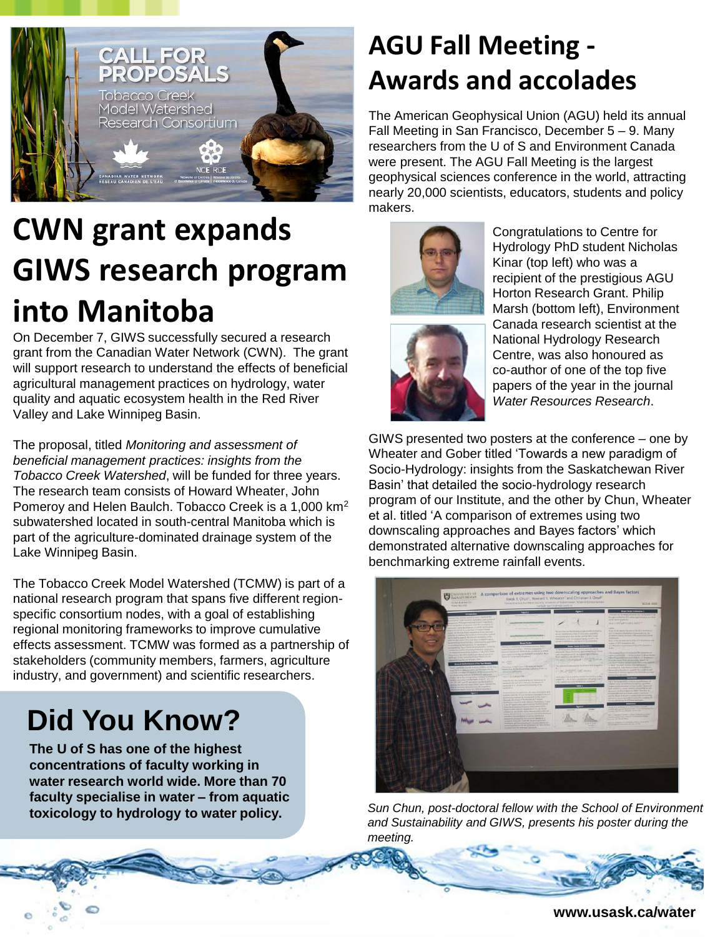

# **CWN grant expands GIWS research program into Manitoba**

On December 7, GIWS successfully secured a research grant from the Canadian Water Network (CWN). The grant will support research to understand the effects of beneficial agricultural management practices on hydrology, water quality and aquatic ecosystem health in the Red River Valley and Lake Winnipeg Basin.

The proposal, titled *Monitoring and assessment of beneficial management practices: insights from the Tobacco Creek Watershed*, will be funded for three years. The research team consists of Howard Wheater, John Pomeroy and Helen Baulch. Tobacco Creek is a 1,000 km<sup>2</sup> subwatershed located in south-central Manitoba which is part of the agriculture-dominated drainage system of the Lake Winnipeg Basin.

The Tobacco Creek Model Watershed (TCMW) is part of a national research program that spans five different regionspecific consortium nodes, with a goal of establishing regional monitoring frameworks to improve cumulative effects assessment. TCMW was formed as a partnership of stakeholders (community members, farmers, agriculture industry, and government) and scientific researchers.

### **Did You Know?**

**The U of S has one of the highest concentrations of faculty working in water research world wide. More than 70 faculty specialise in water – from aquatic toxicology to hydrology to water policy.** 

### **AGU Fall Meeting - Awards and accolades**

The American Geophysical Union (AGU) held its annual Fall Meeting in San Francisco, December 5 – 9. Many researchers from the U of S and Environment Canada were present. The AGU Fall Meeting is the largest geophysical sciences conference in the world, attracting nearly 20,000 scientists, educators, students and policy makers.





Congratulations to Centre for Hydrology PhD student Nicholas Kinar (top left) who was a recipient of the prestigious AGU Horton Research Grant. Philip Marsh (bottom left), Environment Canada research scientist at the National Hydrology Research Centre, was also honoured as co-author of one of the top five papers of the year in the journal *Water Resources Research*.

GIWS presented two posters at the conference – one by Wheater and Gober titled 'Towards a new paradigm of Socio-Hydrology: insights from the Saskatchewan River Basin' that detailed the socio-hydrology research program of our Institute, and the other by Chun, Wheater et al. titled 'A comparison of extremes using two downscaling approaches and Bayes factors' which demonstrated alternative downscaling approaches for benchmarking extreme rainfall events.

*Sun Chun, post-doctoral fellow with the School of Environment and Sustainability and GIWS, presents his poster during the meeting.*